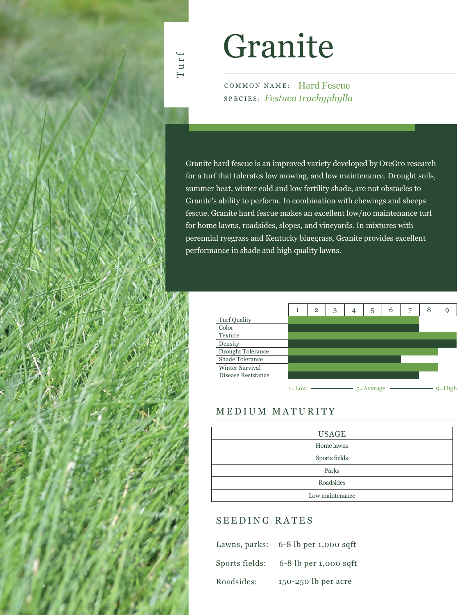## Turf

# Granite

COMMON NAME: Hard Fescue SPECIES: *Festuca trachyphylla*

Granite hard fescue is an improved variety developed by OreGro research for a turf that tolerates low mowing, and low maintenance. Drought soils, summer heat, winter cold and low fertility shade, are not obstacles to Granite's ability to perform. In combination with chewings and sheeps fescue, Granite hard fescue makes an excellent low/no maintenance turf for home lawns, roadsides, slopes, and vineyards. In mixtures with perennial ryegrass and Kentucky bluegrass, Granite provides excellent performance in shade and high quality lawns.



### MEDIUM MATURITY

| <b>USAGE</b>    |
|-----------------|
| Home lawns      |
| Sports fields   |
| Parks           |
| Roadsides       |
| Low maintenance |

### SEEDING RATES

|                | Lawns, parks: $6-8$ lb per 1,000 sqft |
|----------------|---------------------------------------|
| Sports fields: | $6-8$ lb per 1,000 sqft               |
| Roadsides:     | 150-250 lb per acre                   |